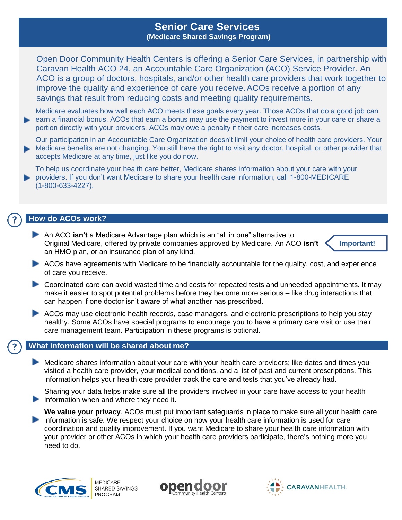# **Senior Care Services (Medicare Shared Savings Program)**

Open Door Community Health Centers is offering a Senior Care Services, in partnership with Caravan Health ACO 24, an Accountable Care Organization (ACO) Service Provider. An ACO is a group of doctors, hospitals, and/or other health care providers that work together to improve the quality and experience of care you receive.ACOs receive a portion of any savings that result from reducing costs and meeting quality requirements.

Medicare evaluates how well each ACO meets these goals every year. Those ACOs that do a good job can earn a financial bonus. ACOs that earn a bonus may use the payment to invest more in your care or share a portion directly with your providers. ACOs may owe a penalty if their care increases costs.

Our participation in an Accountable Care Organization doesn't limit your choice of health care providers. Your Medicare benefits are not changing. You still have the right to visit any doctor, hospital, or other provider that accepts Medicare at any time, just like you do now.

To help us coordinate your health care better, Medicare shares information about your care with your providers. If you don't want Medicare to share your health care information, call 1-800-MEDICARE (1-800-633-4227).

## **How do ACOs work?**

An ACO **isn't** a Medicare Advantage plan which is an "all in one" alternative to Original Medicare, offered by private companies approved by Medicare. An ACO **isn't**  an HMO plan, or an insurance plan of any kind.



- ACOs have agreements with Medicare to be financially accountable for the quality, cost, and experience of care you receive.
- Coordinated care can avoid wasted time and costs for repeated tests and unneeded appointments. It may make it easier to spot potential problems before they become more serious – like drug interactions that can happen if one doctor isn't aware of what another has prescribed.
- ACOs may use electronic health records, case managers, and electronic prescriptions to help you stay healthy. Some ACOs have special programs to encourage you to have a primary care visit or use their care management team. Participation in these programs is optional.

### **What information will be shared about me?**

Medicare shares information about your care with your health care providers; like dates and times you visited a health care provider, your medical conditions, and a list of past and current prescriptions. This information helps your health care provider track the care and tests that you've already had.

Sharing your data helps make sure all the providers involved in your care have access to your health **F** information when and where they need it.

**We value your privacy**. ACOs must put important safeguards in place to make sure all your health care information is safe. We respect your choice on how your health care information is used for care coordination and quality improvement. If you want Medicare to share your health care information with your provider or other ACOs in which your health care providers participate, there's nothing more you need to do.